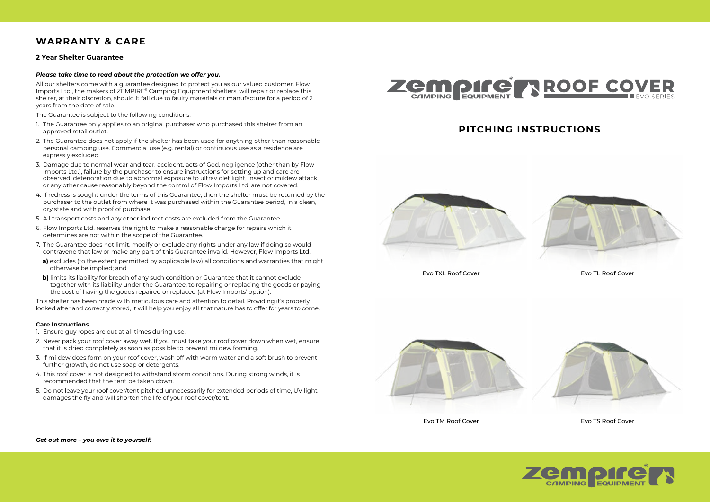## **WARRANTY & CARE**

## **2 Year Shelter Guarantee**

#### *Please take time to read about the protection we offer you.*

All our shelters come with a guarantee designed to protect you as our valued customer. Flow Imports Ltd., the makers of ZEMPIRE® Camping Equipment shelters, will repair or replace this shelter, at their discretion, should it fail due to faulty materials or manufacture for a period of 2 years from the date of sale.

The Guarantee is subject to the following conditions:

- 1. The Guarantee only applies to an original purchaser who purchased this shelter from an approved retail outlet.
- 2. The Guarantee does not apply if the shelter has been used for anything other than reasonable personal camping use. Commercial use (e.g. rental) or continuous use as a residence are expressly excluded.
- 3. Damage due to normal wear and tear, accident, acts of God, negligence (other than by Flow Imports Ltd.), failure by the purchaser to ensure instructions for setting up and care are observed, deterioration due to abnormal exposure to ultraviolet light, insect or mildew attack, or any other cause reasonably beyond the control of Flow Imports Ltd. are not covered.
- 4. If redress is sought under the terms of this Guarantee, then the shelter must be returned by the purchaser to the outlet from where it was purchased within the Guarantee period, in a clean, dry state and with proof of purchase.
- 5. All transport costs and any other indirect costs are excluded from the Guarantee.
- 6. Flow Imports Ltd. reserves the right to make a reasonable charge for repairs which it determines are not within the scope of the Guarantee.
- 7. The Guarantee does not limit, modify or exclude any rights under any law if doing so would contravene that law or make any part of this Guarantee invalid. However, Flow Imports Ltd.:
- **a)** excludes (to the extent permitted by applicable law) all conditions and warranties that might otherwise be implied; and
- **b)** limits its liability for breach of any such condition or Guarantee that it cannot exclude together with its liability under the Guarantee, to repairing or replacing the goods or paying the cost of having the goods repaired or replaced (at Flow Imports' option).

This shelter has been made with meticulous care and attention to detail. Providing it's properly looked after and correctly stored, it will help you enjoy all that nature has to offer for years to come.

#### **Care Instructions**

- 1. Ensure guy ropes are out at all times during use.
- 2. Never pack your roof cover away wet. If you must take your roof cover down when wet, ensure that it is dried completely as soon as possible to prevent mildew forming.
- 3. If mildew does form on your roof cover, wash off with warm water and a soft brush to prevent further growth, do not use soap or detergents.
- 4. This roof cover is not designed to withstand storm conditions. During strong winds, it is recommended that the tent be taken down.
- 5. Do not leave your roof cover/tent pitched unnecessarily for extended periods of time, UV light damages the fly and will shorten the life of your roof cover/tent.



## **PITCHING INSTRUCTIONS**





Evo TXL Roof Cover Evo TL Roof Cover





Evo TM Roof Cover Evo TS Roof Cover